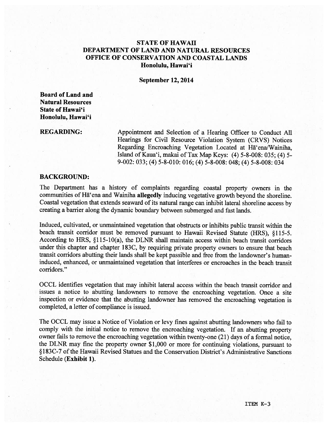## STATE OF HAWAII DEPARTMENT OF LAND AND NATURAL RESOURCES OFFICE OF CONSERVATION AND COASTAL LANDS Honolulu, Hawai'i

September 12, 2014

Board of Land and Natural Resources State of Hawai'i Honolulu, Hawai'i

REGARDING: Appointment and Selection of <sup>a</sup> Hearing Officer to Conduct All Hearings for Civil Resource Violation System (CRVS) Notices Regarding Encroaching Vegetation Located at Hā'ena/Wainiha, Island of Kaua'i, makai of Tax Map Keys: (4) 5-8-008: 035; (4) 5- 9-002: 033; (4) 5-8-010: 016; (4) 5-8-008: 048; (4) 5-8-008: 034

#### BACKGROUND:

The Department has <sup>a</sup> history of complaints regarding coastal property owners in the communities of Hã'ena and Wainiha allegedly inducing vegetative growth beyond the shoreline. Coastal vegetation that extends seaward of its natural range can inhibit lateral shoreline access by creating <sup>a</sup> barrier along the dynamic boundary between submerged and fast lands.

Induced, cultivated, or unmaintained vegetation that obstructs or inhibits public transit within the beach transit corridor must be removed pursuant to Hawaii Revised Statute (HRS), §115-5. According to HRS, §115-10(a), the DLNR shall maintain access within beach transit corridors under this chapter and chapter 183C, by requiring private property owners to ensure that beach transit corridors abutting their lands shall be kept passible and free from the landowner's humaninduced, enhanced, or unmaintained vegetation that interferes or encroaches in the beach transit corridors."

OCCL identifies vegetation that may inhibit lateral access within the beach transit corridor and issues <sup>a</sup> notice to abutting landowners to remove the encroaching vegetation. Once <sup>a</sup> site inspection or evidence that the abutting landowner has removed the encroaching vegetation is completed, <sup>a</sup> letter of compliance is issued.

The OCCL may issue <sup>a</sup> Notice of Violation or levy fines against abutting landowners who fail to comply with the initial notice to remove the encroaching vegetation. If an abutting property owner fails to remove the encroaching vegetation within twenty-one (21) days of <sup>a</sup> formal notice, the DLNR may fine the property owner \$1,000 or more for continuing violations, pursuan<sup>t</sup> to §183C-7 of the Hawaii Revised Statues and the Conservation District's Administrative Sanctions Schedule (Exhibit 1).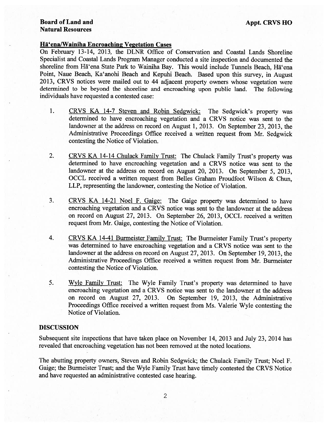#### Board of Land and Appt. CRVS HO Natural Resources

#### Hã'enalWainiha Encroaching Vegetation Cases

On February 13-14, 2013, the DLNR Office of Conservation and Coastal Lands Shoreline Specialist and Coastal Lands Program Manager conducted <sup>a</sup> site inspection and documented the shoreline from Hā'ena State Park to Wainiha Bay. This would include Tunnels Beach, Hā'ena Point, Naue Beach, Ka'anohi Beach and Kepuhi Beach. Based upon this survey, in August 2013, CRVS notices were mailed out to <sup>44</sup> adjacent property owners whose vegetation were determined to be beyond the shoreline and encroaching upon public land. The following individuals have requested <sup>a</sup> contested case:

- 1. CRVS KA 14-7 Steven and Robin Sedgwick: The Sedgwick's property was determined to have encroaching vegetation and <sup>a</sup> CRVS notice was sent to the landowner at the address on record on August 1, 2013. On September 23, 2013, the Administrative Proceedings Office received <sup>a</sup> written reques<sup>t</sup> from Mr. Sedgwick contesting the Notice of Violation.
- 2. CRVS KA 14-14 Chulack Family Trust: The Chulack Family Trust's property was determined to have encroaching vegetation and <sup>a</sup> CRVS notice was sent to the landowner at the address on record on August 20, 2013. On September 5, 2013, OCCL received <sup>a</sup> written reques<sup>t</sup> from Belles Graham Proudfoot Wilson & Chun, LLP, representing the landowner, contesting the Notice of Violation.
- 3. CRVS KA 14-21 Noel F. Gaige: The Gaige property was determined to have encroaching vegetation and <sup>a</sup> CRVS notice was sent to the landowner at the address on record on August 27, 2013. On September 26, 2013, OCCL received <sup>a</sup> written reques<sup>t</sup> from Mr. Gaige, contesting the Notice of Violation.
- 4. CRVS KA 14-41 Burmeister Family Trust: The Burmeister Family Trust's property was determined to have encroaching vegetation and <sup>a</sup> CRVS notice was sent to the landowner at the address on record on August 27, 2013. On September 19, 2013, the Administrative Proceedings Office received <sup>a</sup> written reques<sup>t</sup> from Mr. Burmeister contesting the Notice of Violation.
- 5. Wyle Family Trust: The Wyle Family Trust's property was determined to have encroaching vegetation and <sup>a</sup> CRVS notice was sent to the landowner at the address on record on August 27, 2013. On September 19, 2013, the Administrative Proceedings Office received <sup>a</sup> written reques<sup>t</sup> from Ms. Valerie Wyle contesting the Notice of Violation.

### DISCUSSION

Subsequent site inspections that have taken <sup>p</sup>lace on November 14, 2013 and July 23, 2014 has revealed that encroaching vegetation has not been removed at the noted locations.

The abutting property owners, Steven and Robin Sedgwick; the Chulack Family Trust; Noel F. Gaige; the Burmeister Trust; and the Wyle Family Trust have timely contested the CRVS Notice and have requested an administrative contested case hearing.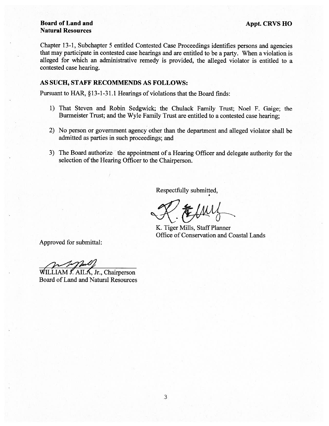## Board of Land and Appt. CRVS HO Natural Resources

Chapter 13-1, Subchapter <sup>5</sup> entitled Contested Case Proceedings identifies persons and agencies that may participate in contested case hearings and are entitled to be <sup>a</sup> party. When <sup>a</sup> violation is alleged for which an administrative remedy is provided, the alleged violator is entitled to <sup>a</sup> contested case hearing.

#### AS SUCH, STAFF RECOMMENDS AS FOLLOWS:

Pursuant to HAR, § 13-1-31.1 Hearings of violations that the Board finds:

- 1) That Steven and Robin Sedgwick; the Chulack Family Trust; Noel F. Gaige; the Burmeister Trust; and the Wyle Family Trust are entitled to <sup>a</sup> contested case hearing;
- 2) No person or governmen<sup>t</sup> agency other than the department and alleged violator shall be admitted as parties in such proceedings; and
- 3) The Board authorize the appointment of a Hearing Officer and delegate authority for the selection of the Hearing Officer to the Chairperson.

Respectfully submitted,

 $X \notin l$ 

K. Tiger Mills, Staff Planner Office of Conservation and Coastal Lands

Approved for submittal:

 $WILLIAM f. AILA, Jr., Chairperson$ 

Board of Land and Natural Resources